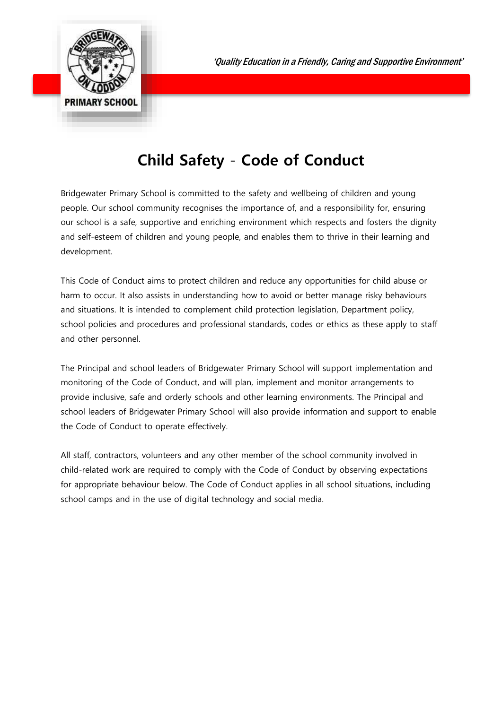

## **Child Safety** - **Code of Conduct**

Bridgewater Primary School is committed to the safety and wellbeing of children and young people. Our school community recognises the importance of, and a responsibility for, ensuring our school is a safe, supportive and enriching environment which respects and fosters the dignity and self-esteem of children and young people, and enables them to thrive in their learning and development.

This Code of Conduct aims to protect children and reduce any opportunities for child abuse or harm to occur. It also assists in understanding how to avoid or better manage risky behaviours and situations. It is intended to complement child protection legislation, Department policy, school policies and procedures and professional standards, codes or ethics as these apply to staff and other personnel.

The Principal and school leaders of Bridgewater Primary School will support implementation and monitoring of the Code of Conduct, and will plan, implement and monitor arrangements to provide inclusive, safe and orderly schools and other learning environments. The Principal and school leaders of Bridgewater Primary School will also provide information and support to enable the Code of Conduct to operate effectively.

All staff, contractors, volunteers and any other member of the school community involved in child-related work are required to comply with the Code of Conduct by observing expectations for appropriate behaviour below. The Code of Conduct applies in all school situations, including school camps and in the use of digital technology and social media.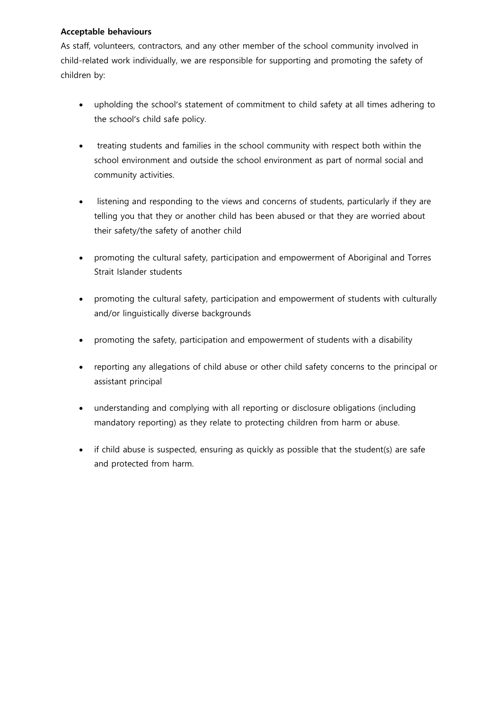## **Acceptable behaviours**

As staff, volunteers, contractors, and any other member of the school community involved in child-related work individually, we are responsible for supporting and promoting the safety of children by:

- upholding the school's statement of commitment to child safety at all times adhering to the school's child safe policy.
- treating students and families in the school community with respect both within the school environment and outside the school environment as part of normal social and community activities.
- listening and responding to the views and concerns of students, particularly if they are telling you that they or another child has been abused or that they are worried about their safety/the safety of another child
- promoting the cultural safety, participation and empowerment of Aboriginal and Torres Strait Islander students
- promoting the cultural safety, participation and empowerment of students with culturally and/or linguistically diverse backgrounds
- promoting the safety, participation and empowerment of students with a disability
- reporting any allegations of child abuse or other child safety concerns to the principal or assistant principal
- understanding and complying with all reporting or disclosure obligations (including mandatory reporting) as they relate to protecting children from harm or abuse.
- if child abuse is suspected, ensuring as quickly as possible that the student(s) are safe and protected from harm.